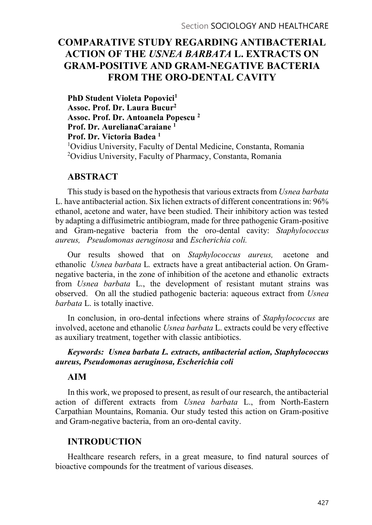# COMPARATIVE STUDY REGARDING ANTIBACTERIAL ACTION OF THE USNEA BARBATA L. EXTRACTS ON GRAM-POSITIVE AND GRAM-NEGATIVE BACTERIA FROM THE ORO-DENTAL CAVITY

PhD Student Violeta Popovici<sup>1</sup> Assoc. Prof. Dr. Laura Bucur2 Assoc. Prof. Dr. Antoanela Popescu 2 Prof. Dr. AurelianaCaraiane 1 Prof. Dr. Victoria Badea 1 1Ovidius University, Faculty of Dental Medicine, Constanta, Romania 2Ovidius University, Faculty of Pharmacy, Constanta, Romania

## **ABSTRACT**

This study is based on the hypothesis that various extracts from Usnea barbata L. have antibacterial action. Six lichen extracts of different concentrations in: 96% ethanol, acetone and water, have been studied. Their inhibitory action was tested by adapting a diffusimetric antibiogram, made for three pathogenic Gram-positive and Gram-negative bacteria from the oro-dental cavity: Staphylococcus aureus, Pseudomonas aeruginosa and Escherichia coli.

Our results showed that on Staphylococcus aureus, acetone and ethanolic Usnea barbata L. extracts have a great antibacterial action. On Gramnegative bacteria, in the zone of inhibition of the acetone and ethanolic extracts from Usnea barbata L., the development of resistant mutant strains was observed. On all the studied pathogenic bacteria: aqueous extract from Usnea barbata L. is totally inactive.

In conclusion, in oro-dental infections where strains of *Staphylococcus* are involved, acetone and ethanolic Usnea barbata L. extracts could be very effective as auxiliary treatment, together with classic antibiotics.

#### Keywords: Usnea barbata L. extracts, antibacterial action, Staphylococcus aureus, Pseudomonas aeruginosa, Escherichia coli

#### AIM

In this work, we proposed to present, as result of our research, the antibacterial action of different extracts from Usnea barbata L., from North-Eastern Carpathian Mountains, Romania. Our study tested this action on Gram-positive and Gram-negative bacteria, from an oro-dental cavity.

## INTRODUCTION

Healthcare research refers, in a great measure, to find natural sources of bioactive compounds for the treatment of various diseases.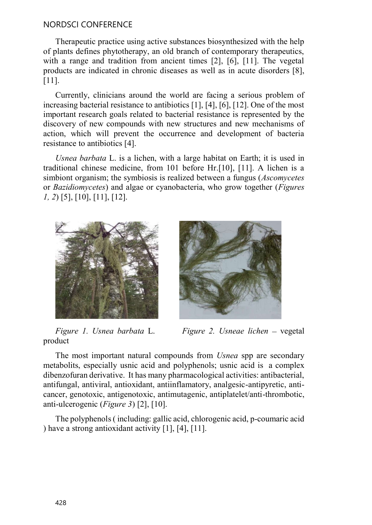## NORDSCI CONFERENCE

Therapeutic practice using active substances biosynthesized with the help of plants defines phytotherapy, an old branch of contemporary therapeutics, with a range and tradition from ancient times [2], [6], [11]. The vegetal products are indicated in chronic diseases as well as in acute disorders [8], [11].

Currently, clinicians around the world are facing a serious problem of increasing bacterial resistance to antibiotics [1], [4], [6], [12]. One of the most important research goals related to bacterial resistance is represented by the discovery of new compounds with new structures and new mechanisms of action, which will prevent the occurrence and development of bacteria resistance to antibiotics [4].

Usnea barbata L. is a lichen, with a large habitat on Earth; it is used in traditional chinese medicine, from 101 before Hr.[10], [11]. A lichen is a simbiont organism; the symbiosis is realized between a fungus (*Ascomycetes* or Bazidiomycetes) and algae or cyanobacteria, who grow together (Figures 1, 2) [5], [10], [11], [12].





product

Figure 1. Usnea barbata L. Figure 2. Usneae lichen – vegetal

The most important natural compounds from *Usnea* spp are secondary metabolits, especially usnic acid and polyphenols; usnic acid is a complex dibenzofuran derivative. It has many pharmacological activities: antibacterial, antifungal, antiviral, antioxidant, antiinflamatory, analgesic-antipyretic, anticancer, genotoxic, antigenotoxic, antimutagenic, antiplatelet/anti-thrombotic, anti-ulcerogenic (Figure 3) [2], [10].

The polyphenols ( including: gallic acid, chlorogenic acid, p-coumaric acid ) have a strong antioxidant activity [1], [4], [11].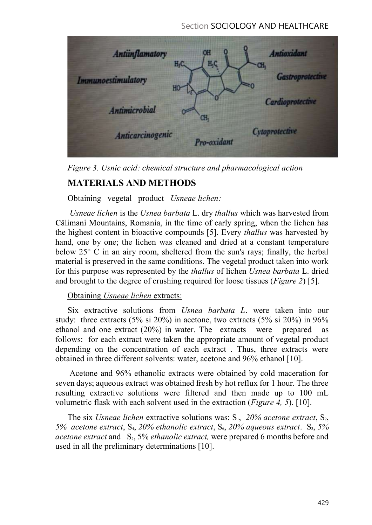Section SOCIOLOGY AND HEALTHCARE



Figure 3. Usnic acid: chemical structure and pharmacological action

# MATERIALS AND METHODS

# Obtaining vegetal product Usneae lichen:

Usneae lichen is the Usnea barbata L. dry thallus which was harvested from Călimani Mountains, Romania, in the time of early spring, when the lichen has the highest content in bioactive compounds [5]. Every thallus was harvested by hand, one by one; the lichen was cleaned and dried at a constant temperature below 25° C in an airy room, sheltered from the sun's rays; finally, the herbal material is preserved in the same conditions. The vegetal product taken into work for this purpose was represented by the thallus of lichen Usnea barbata L. dried and brought to the degree of crushing required for loose tissues (Figure 2) [5].

# Obtaining Usneae lichen extracts:

Six extractive solutions from Usnea barbata L. were taken into our study: three extracts (5% si 20%) in acetone, two extracts (5% si 20%) in 96% ethanol and one extract (20%) in water. The extracts were prepared as follows: for each extract were taken the appropriate amount of vegetal product depending on the concentration of each extract . Thus, three extracts were obtained in three different solvents: water, acetone and 96% ethanol [10].

Acetone and 96% ethanolic extracts were obtained by cold maceration for seven days; aqueous extract was obtained fresh by hot reflux for 1 hour. The three resulting extractive solutions were filtered and then made up to 100 mL volumetric flask with each solvent used in the extraction (Figure 4, 5). [10].

The six Usneae lichen extractive solutions was:  $S_1$ , 20% acetone extract,  $S_2$ , 5% acetone extract, S<sub>4</sub>, 20% ethanolic extract, S<sub>6</sub>, 20% aqueous extract. S<sub>3</sub>, 5% acetone extract and  $S_5$ , 5% ethanolic extract, were prepared 6 months before and used in all the preliminary determinations [10].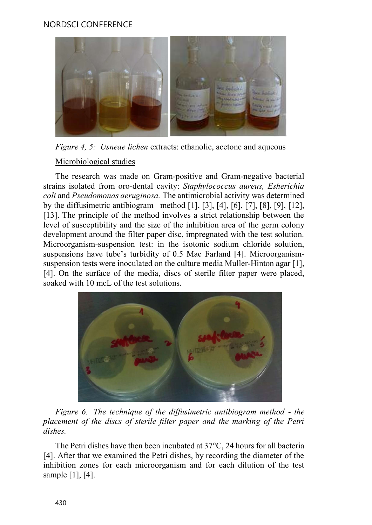# NORDSCI CONFERENCE



## Microbiological studies

strains isolated from oro-dental cavity: Staphylococcus aureus, Esherichia coli and Pseudomonas aeruginosa. The antimicrobial activity was determined by the diffusimetric antibiogram method [1], [3], [4], [6], [7], [8], [9], [12], [13]. The principle of the method involves a strict relationship between the level of susceptibility and the size of the inhibition area of the germ colony development around the filter paper disc, impregnated with the test solution. Microorganism-suspension test: in the isotonic sodium chloride solution, suspensions have tube's turbidity of 0.5 Mac Farland [4]. Microorganismsuspension tests were inoculated on the culture media Muller-Hinton agar [1], Figure 4, 5: Usneae lichen extracts: ethanolic, acetone and aqueous<br>Microbiological studies<br>The research was made on Gram-positive and Gram-negative bacterial<br>strains isolated from oro-dental cavity: *Staphylococcus aureu* soaked with 10 mcL of the test solutions.



placement of the discs of sterile filter paper and the marking of the Petri dishes.

The Petri dishes have then been incubated at 37°C, 24 hours for all bacteria [4]. After that we examined the Petri dishes, by recording the diameter of the inhibition zones for each microorganism and for each dilution of the test sample [1], [4].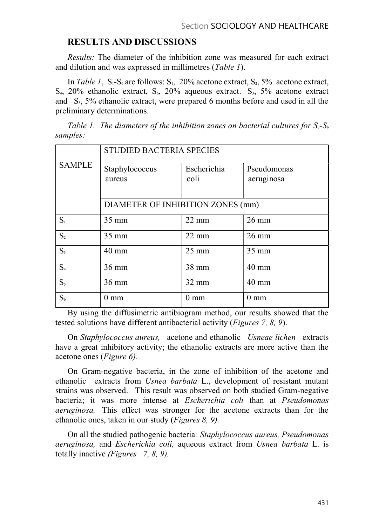# RESULTS AND DISCUSSIONS

Results: The diameter of the inhibition zone was measured for each extract and dilution and was expressed in millimetres (Table 1).

In Table 1,  $S_1-S_6$  are follows:  $S_1$ , 20% acetone extract,  $S_2$ , 5% acetone extract,  $S_4$ , 20% ethanolic extract,  $S_6$ , 20% aqueous extract.  $S_3$ , 5% acetone extract and  $S_5$ , 5% ethanolic extract, were prepared 6 months before and used in all the preliminary determinations.

Table 1. The diameters of the inhibition zones on bacterial cultures for  $S_1$ - $S_6$ samples:

|                | <b>STUDIED BACTERIA SPECIES</b>   |                     |                           |
|----------------|-----------------------------------|---------------------|---------------------------|
| <b>SAMPLE</b>  | Staphylococcus<br>aureus          | Escherichia<br>coli | Pseudomonas<br>aeruginosa |
|                | DIAMETER OF INHIBITION ZONES (mm) |                     |                           |
| S <sub>1</sub> | 35 mm                             | $22 \text{ mm}$     | $26 \text{ mm}$           |
| S <sub>2</sub> | $35 \text{ mm}$                   | $22 \text{ mm}$     | $26 \text{ mm}$           |
| $S_3$          | 40 mm                             | $25 \text{ mm}$     | $35 \text{ mm}$           |
| S <sub>4</sub> | $36 \text{ mm}$                   | 38 mm               | $40 \text{ mm}$           |
| S <sub>5</sub> | $36 \text{ mm}$                   | $32 \text{ mm}$     | 40 mm                     |
| $S_6$          | $0 \text{ mm}$                    | $0 \text{ mm}$      | $0 \text{ mm}$            |

By using the diffusimetric antibiogram method, our results showed that the tested solutions have different antibacterial activity (Figures 7, 8, 9).

On Staphylococcus aureus, acetone and ethanolic Usneae lichen extracts have a great inhibitory activity; the ethanolic extracts are more active than the acetone ones (Figure 6).

On Gram-negative bacteria, in the zone of inhibition of the acetone and ethanolic extracts from Usnea barbata L., development of resistant mutant strains was observed. This result was observed on both studied Gram-negative bacteria; it was more intense at Escherichia coli than at Pseudomonas aeruginosa. This effect was stronger for the acetone extracts than for the ethanolic ones, taken in our study (Figures 8, 9).

On all the studied pathogenic bacteria: Staphylococcus aureus, Pseudomonas aeruginosa, and Escherichia coli, aqueous extract from Usnea barbata L. is totally inactive *(Figures* 7, 8, 9).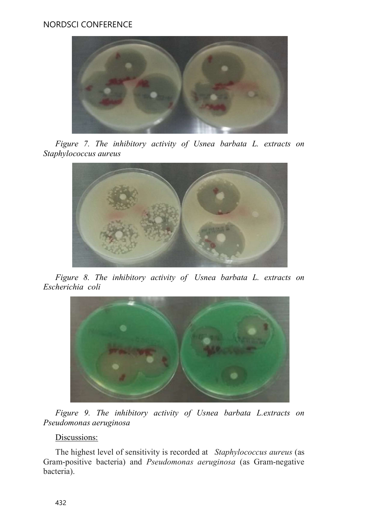

Figure 7. The inhibitory activity of Usnea barbata L. extracts on Staphylococcus aureus



Figure 8. The inhibitory activity of Usnea barbata L. extracts on Escherichia coli



Figure 9. The inhibitory activity of Usnea barbata L.extracts on Pseudomonas aeruginosa

# Discussions:

The highest level of sensitivity is recorded at Staphylococcus aureus (as Gram-positive bacteria) and Pseudomonas aeruginosa (as Gram-negative bacteria).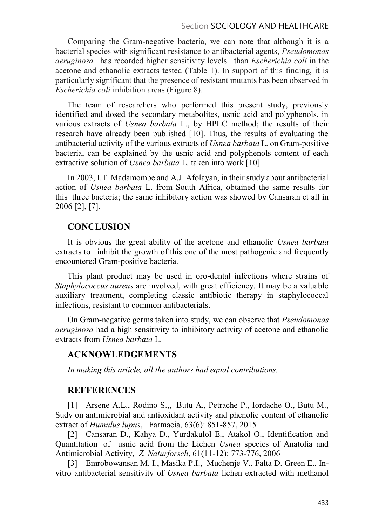#### Section SOCIOLOGY AND HEALTHCARE

Comparing the Gram-negative bacteria, we can note that although it is a bacterial species with significant resistance to antibacterial agents, Pseudomonas aeruginosa has recorded higher sensitivity levels than Escherichia coli in the acetone and ethanolic extracts tested (Table 1). In support of this finding, it is particularly significant that the presence of resistant mutants has been observed in Escherichia coli inhibition areas (Figure 8).

The team of researchers who performed this present study, previously identified and dosed the secondary metabolites, usnic acid and polyphenols, in various extracts of Usnea barbata L., by HPLC method; the results of their research have already been published [10]. Thus, the results of evaluating the antibacterial activity of the various extracts of Usnea barbata L. on Gram-positive bacteria, can be explained by the usnic acid and polyphenols content of each extractive solution of *Usnea barbata* L. taken into work [10].

In 2003, I.T. Madamombe and A.J. Afolayan, in their study about antibacterial action of Usnea barbata L. from South Africa, obtained the same results for this three bacteria; the same inhibitory action was showed by Cansaran et all in 2006 [2], [7].

#### **CONCLUSION**

It is obvious the great ability of the acetone and ethanolic Usnea barbata extracts to inhibit the growth of this one of the most pathogenic and frequently encountered Gram-positive bacteria.

This plant product may be used in oro-dental infections where strains of Staphylococcus aureus are involved, with great efficiency. It may be a valuable auxiliary treatment, completing classic antibiotic therapy in staphylococcal infections, resistant to common antibacterials.

On Gram-negative germs taken into study, we can observe that Pseudomonas aeruginosa had a high sensitivity to inhibitory activity of acetone and ethanolic extracts from Usnea barbata L.

#### ACKNOWLEDGEMENTS

In making this article, all the authors had equal contributions.

#### **REFFERENCES**

[1] Arsene A.L., Rodino S.,, Butu A., Petrache P., Iordache O., Butu M., Sudy on antimicrobial and antioxidant activity and phenolic content of ethanolic extract of Humulus lupus, Farmacia, 63(6): 851-857, 2015

[2] Cansaran D., Kahya D., Yurdakulol E., Atakol O., Identification and Quantitation of usnic acid from the Lichen Usnea species of Anatolia and Antimicrobial Activity, Z. Naturforsch, 61(11-12): 773-776, 2006

[3] Emrobowansan M. I., Masika P.I., Muchenje V., Falta D. Green E., Invitro antibacterial sensitivity of Usnea barbata lichen extracted with methanol